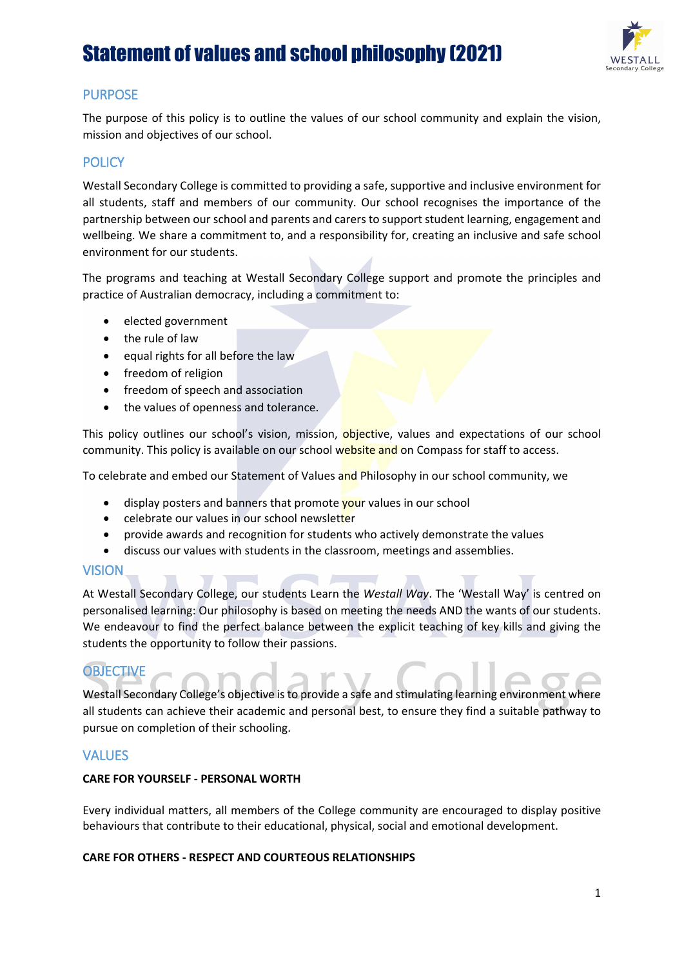

## PURPOSE

The purpose of this policy is to outline the values of our school community and explain the vision, mission and objectives of our school.

## **POLICY**

Westall Secondary College is committed to providing a safe, supportive and inclusive environment for all students, staff and members of our community. Our school recognises the importance of the partnership between our school and parents and carers to support student learning, engagement and wellbeing. We share a commitment to, and a responsibility for, creating an inclusive and safe school environment for our students.

The programs and teaching at Westall Secondary College support and promote the principles and practice of Australian democracy, including a commitment to:

- elected government
- the rule of law
- equal rights for all before the law
- freedom of religion
- freedom of speech and association
- the values of openness and tolerance.

This policy outlines our school's vision, mission, objective, values and expectations of our school community. This policy is available on our school website and on Compass for staff to access.

To celebrate and embed our Statement of Values and Philosophy in our school community, we

- display posters and banners that promote your values in our school
- celebrate our values in our school newsletter
- provide awards and recognition for students who actively demonstrate the values
- discuss our values with students in the classroom, meetings and assemblies.

### VISION

At Westall Secondary College, our students Learn the *Westall Way*. The 'Westall Way' is centred on personalised learning: Our philosophy is based on meeting the needs AND the wants of our students. We endeavour to find the perfect balance between the explicit teaching of key kills and giving the students the opportunity to follow their passions.

# **OBJECTIVE**

Westall Secondary College's objective is to provide a safe and stimulating learning environment where all students can achieve their academic and personal best, to ensure they find a suitable pathway to pursue on completion of their schooling.

### **VALUES**

#### **CARE FOR YOURSELF - PERSONAL WORTH**

Every individual matters, all members of the College community are encouraged to display positive behaviours that contribute to their educational, physical, social and emotional development.

#### **CARE FOR OTHERS - RESPECT AND COURTEOUS RELATIONSHIPS**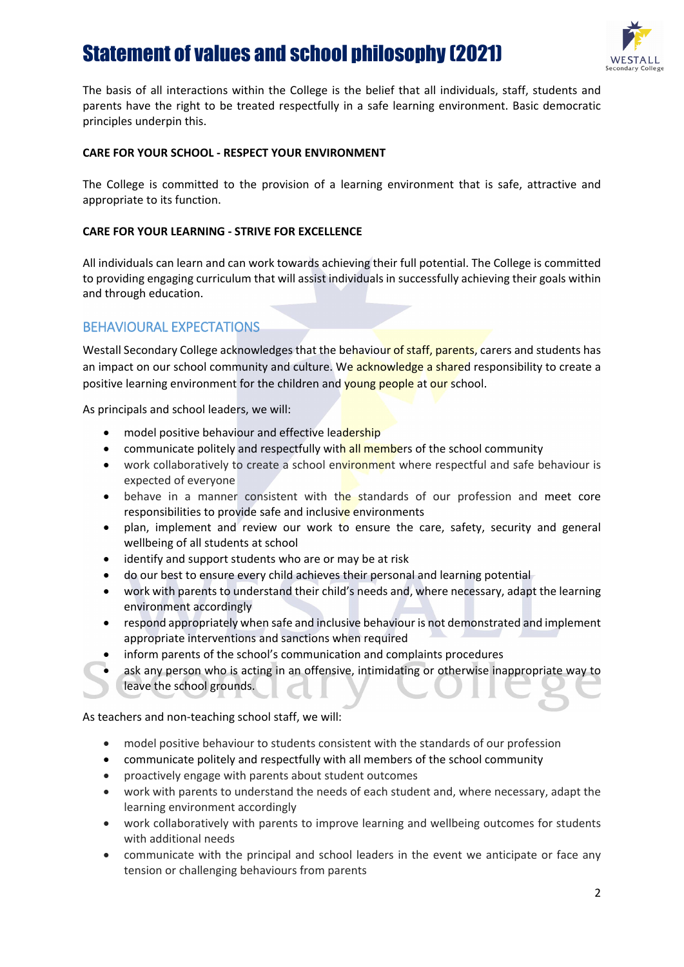

The basis of all interactions within the College is the belief that all individuals, staff, students and parents have the right to be treated respectfully in a safe learning environment. Basic democratic principles underpin this.

#### **CARE FOR YOUR SCHOOL - RESPECT YOUR ENVIRONMENT**

The College is committed to the provision of a learning environment that is safe, attractive and appropriate to its function.

#### **CARE FOR YOUR LEARNING - STRIVE FOR EXCELLENCE**

All individuals can learn and can work towards achieving their full potential. The College is committed to providing engaging curriculum that will assist individuals in successfully achieving their goals within and through education.

### BEHAVIOURAL EXPECTATIONS

Westall Secondary College acknowledges that the behaviour of staff, parents, carers and students has an impact on our school community and culture. We acknowledge a shared responsibility to create a positive learning environment for the children and young people at our school.

As principals and school leaders, we will:

- model positive behaviour and effective leadership
- communicate politely and respectfully with all members of the school community
- work collaboratively to create a school environment where respectful and safe behaviour is expected of everyone
- behave in a manner consistent with the standards of our profession and meet core responsibilities to provide safe and inclusive environments
- plan, implement and review our work to ensure the care, safety, security and general wellbeing of all students at school
- identify and support students who are or may be at risk
- do our best to ensure every child achieves their personal and learning potential
- work with parents to understand their child's needs and, where necessary, adapt the learning environment accordingly
- respond appropriately when safe and inclusive behaviour is not demonstrated and implement appropriate interventions and sanctions when required
- inform parents of the school's communication and complaints procedures
- ask any person who is acting in an offensive, intimidating or otherwise inappropriate way to leave the school grounds.

As teachers and non-teaching school staff, we will:

- model positive behaviour to students consistent with the standards of our profession
- communicate politely and respectfully with all members of the school community
- proactively engage with parents about student outcomes
- work with parents to understand the needs of each student and, where necessary, adapt the learning environment accordingly
- work collaboratively with parents to improve learning and wellbeing outcomes for students with additional needs
- communicate with the principal and school leaders in the event we anticipate or face any tension or challenging behaviours from parents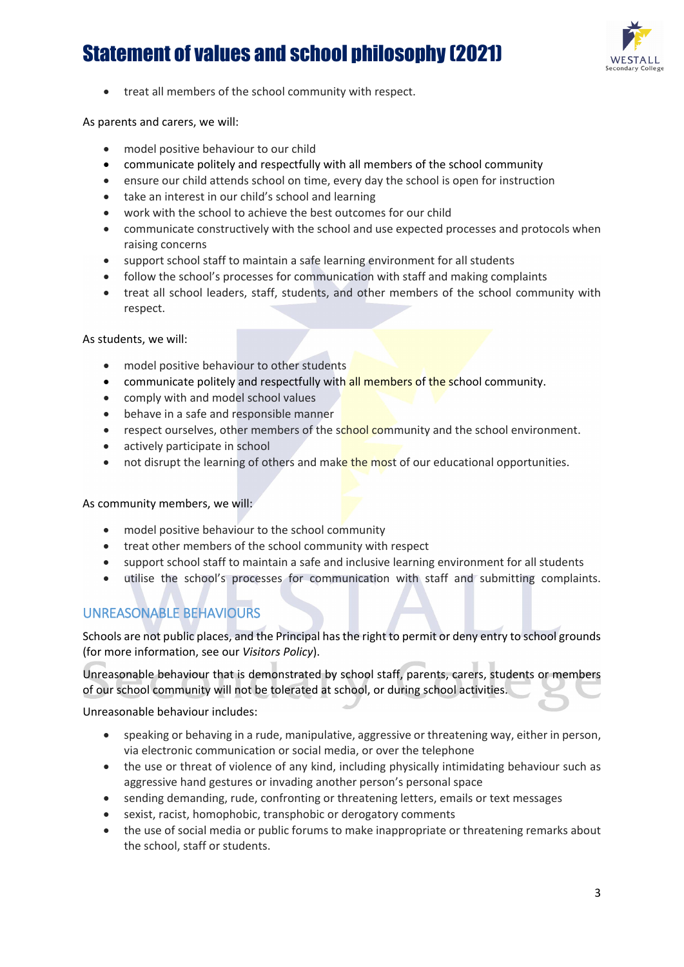

• treat all members of the school community with respect.

As parents and carers, we will:

- model positive behaviour to our child
- communicate politely and respectfully with all members of the school community
- ensure our child attends school on time, every day the school is open for instruction
- take an interest in our child's school and learning
- work with the school to achieve the best outcomes for our child
- communicate constructively with the school and use expected processes and protocols when raising concerns
- support school staff to maintain a safe learning environment for all students
- follow the school's processes for communication with staff and making complaints
- treat all school leaders, staff, students, and other members of the school community with respect.

As students, we will:

- model positive behaviour to other students
- communicate politely and respectfully with all members of the school community.
- comply with and model school values
- behave in a safe and responsible manner
- respect ourselves, other members of the school community and the school environment.
- actively participate in school
- not disrupt the learning of others and make the most of our educational opportunities.

As community members, we will:

- model positive behaviour to the school community
- treat other members of the school community with respect
- support school staff to maintain a safe and inclusive learning environment for all students
- utilise the school's processes for communication with staff and submitting complaints.

## UNREASONABLE BEHAVIOURS

Schools are not public places, and the Principal has the right to permit or deny entry to school grounds (for more information, see our *Visitors Policy*).

Unreasonable behaviour that is demonstrated by school staff, parents, carers, students or members of our school community will not be tolerated at school, or during school activities.

Unreasonable behaviour includes:

- speaking or behaving in a rude, manipulative, aggressive or threatening way, either in person, via electronic communication or social media, or over the telephone
- the use or threat of violence of any kind, including physically intimidating behaviour such as aggressive hand gestures or invading another person's personal space
- sending demanding, rude, confronting or threatening letters, emails or text messages
- sexist, racist, homophobic, transphobic or derogatory comments
- the use of social media or public forums to make inappropriate or threatening remarks about the school, staff or students.